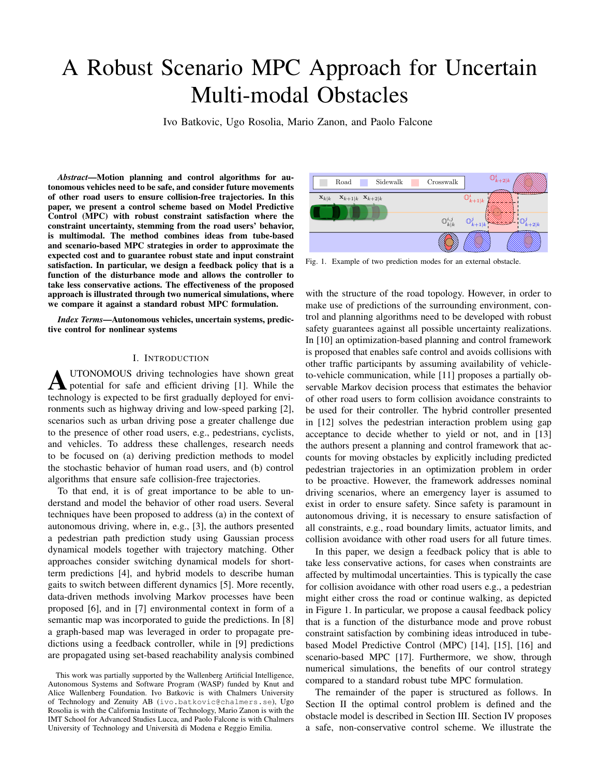# A Robust Scenario MPC Approach for Uncertain **Multi-modal Obstacles**

Ivo Batkovic, Ugo Rosolia, Mario Zanon, and Paolo Falcone

Abstract-Motion planning and control algorithms for autonomous vehicles need to be safe, and consider future movements of other road users to ensure collision-free trajectories. In this paper, we present a control scheme based on Model Predictive Control (MPC) with robust constraint satisfaction where the constraint uncertainty, stemming from the road users' behavior, is multimodal. The method combines ideas from tube-based and scenario-based MPC strategies in order to approximate the expected cost and to guarantee robust state and input constraint satisfaction. In particular, we design a feedback policy that is a function of the disturbance mode and allows the controller to take less conservative actions. The effectiveness of the proposed approach is illustrated through two numerical simulations, where we compare it against a standard robust MPC formulation.

*Index Terms*—Autonomous vehicles, uncertain systems, predictive control for nonlinear systems

### I. INTRODUCTION

UTONOMOUS driving technologies have shown great potential for safe and efficient driving [1]. While the technology is expected to be first gradually deployed for environments such as highway driving and low-speed parking [2], scenarios such as urban driving pose a greater challenge due to the presence of other road users, e.g., pedestrians, cyclists, and vehicles. To address these challenges, research needs to be focused on (a) deriving prediction methods to model the stochastic behavior of human road users, and (b) control algorithms that ensure safe collision-free trajectories.

To that end, it is of great importance to be able to understand and model the behavior of other road users. Several techniques have been proposed to address (a) in the context of autonomous driving, where in, e.g., [3], the authors presented a pedestrian path prediction study using Gaussian process dynamical models together with trajectory matching. Other approaches consider switching dynamical models for shortterm predictions [4], and hybrid models to describe human gaits to switch between different dynamics [5]. More recently, data-driven methods involving Markov processes have been proposed [6], and in [7] environmental context in form of a semantic map was incorporated to guide the predictions. In [8] a graph-based map was leveraged in order to propagate predictions using a feedback controller, while in [9] predictions are propagated using set-based reachability analysis combined



Fig. 1. Example of two prediction modes for an external obstacle.

with the structure of the road topology. However, in order to make use of predictions of the surrounding environment, control and planning algorithms need to be developed with robust safety guarantees against all possible uncertainty realizations. In [10] an optimization-based planning and control framework is proposed that enables safe control and avoids collisions with other traffic participants by assuming availability of vehicleto-vehicle communication, while [11] proposes a partially observable Markov decision process that estimates the behavior of other road users to form collision avoidance constraints to be used for their controller. The hybrid controller presented in [12] solves the pedestrian interaction problem using gap acceptance to decide whether to yield or not, and in [13] the authors present a planning and control framework that accounts for moving obstacles by explicitly including predicted pedestrian trajectories in an optimization problem in order to be proactive. However, the framework addresses nominal driving scenarios, where an emergency layer is assumed to exist in order to ensure safety. Since safety is paramount in autonomous driving, it is necessary to ensure satisfaction of all constraints, e.g., road boundary limits, actuator limits, and collision avoidance with other road users for all future times.

In this paper, we design a feedback policy that is able to take less conservative actions, for cases when constraints are affected by multimodal uncertainties. This is typically the case for collision avoidance with other road users e.g., a pedestrian might either cross the road or continue walking, as depicted in Figure 1. In particular, we propose a causal feedback policy that is a function of the disturbance mode and prove robust constraint satisfaction by combining ideas introduced in tubebased Model Predictive Control (MPC) [14], [15], [16] and scenario-based MPC [17]. Furthermore, we show, through numerical simulations, the benefits of our control strategy compared to a standard robust tube MPC formulation.

The remainder of the paper is structured as follows. In Section II the optimal control problem is defined and the obstacle model is described in Section III. Section IV proposes a safe, non-conservative control scheme. We illustrate the

This work was partially supported by the Wallenberg Artificial Intelligence, Autonomous Systems and Software Program (WASP) funded by Knut and Alice Wallenberg Foundation. Ivo Batkovic is with Chalmers University of Technology and Zenuity AB (ivo.batkovic@chalmers.se), Ugo Rosolia is with the California Institute of Technology, Mario Zanon is with the IMT School for Advanced Studies Lucca, and Paolo Falcone is with Chalmers University of Technology and Università di Modena e Reggio Emilia.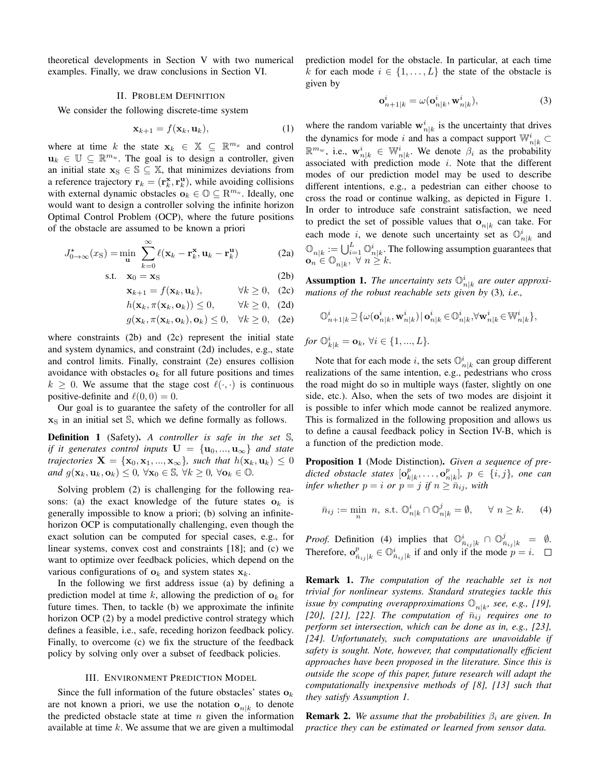theoretical developments in Section V with two numerical examples. Finally, we draw conclusions in Section VI.

#### **II. PROBLEM DEFINITION**

We consider the following discrete-time system

$$
\mathbf{x}_{k+1} = f(\mathbf{x}_k, \mathbf{u}_k), \tag{1}
$$

where at time k the state  $x_k \in \mathbb{X} \subseteq \mathbb{R}^{m_x}$  and control  $\mathbf{u}_k \in \mathbb{U} \subseteq \mathbb{R}^{m_u}$ . The goal is to design a controller, given an initial state  $x_S \in \mathbb{S} \subseteq \mathbb{X}$ , that minimizes deviations from a reference trajectory  $r_k = (\mathbf{r}_k^{\mathbf{x}}, \mathbf{r}_k^{\mathbf{u}})$ , while avoiding collisions with external dynamic obstacles  $\mathbf{o}_k \in \mathbb{O} \subseteq \mathbb{R}^{m_o}$ . Ideally, one would want to design a controller solving the infinite horizon Optimal Control Problem (OCP), where the future positions of the obstacle are assumed to be known a priori

$$
J_{0\to\infty}^{\star}(x_{\rm S}) = \min_{\mathbf{u}} \sum_{k=0}^{\infty} \ell(\mathbf{x}_k - \mathbf{r}_k^{\mathbf{x}}, \mathbf{u}_k - \mathbf{r}_k^{\mathbf{u}})
$$
(2a)

$$
s.t. \quad \mathbf{x}_0 = \mathbf{x}_S \tag{2b}
$$

$$
\mathbf{x}_{k+1} = f(\mathbf{x}_k, \mathbf{u}_k), \qquad \forall k \ge 0, \quad (2c)
$$

$$
h(\mathbf{x}_k, \pi(\mathbf{x}_k, \mathbf{o}_k)) \le 0, \qquad \forall k \ge 0, \quad (2d)
$$

$$
g(\mathbf{x}_k, \pi(\mathbf{x}_k, \mathbf{o}_k), \mathbf{o}_k) \le 0, \quad \forall k \ge 0, \quad (2e)
$$

where constraints  $(2b)$  and  $(2c)$  represent the initial state and system dynamics, and constraint (2d) includes, e.g., state and control limits. Finally, constraint (2e) ensures collision avoidance with obstacles  $\mathbf{o}_k$  for all future positions and times  $k \geq 0$ . We assume that the stage cost  $\ell(\cdot, \cdot)$  is continuous positive-definite and  $\ell(0,0) = 0$ .

Our goal is to guarantee the safety of the controller for all  $x<sub>S</sub>$  in an initial set  $\mathbb{S}$ , which we define formally as follows.

**Definition 1** (Safety). A controller is safe in the set S, if it generates control inputs  $\mathbf{U} = {\mathbf{u}_0, ..., \mathbf{u}_{\infty}}$  and state trajectories  $\mathbf{X} = {\mathbf{x}_0, \mathbf{x}_1, ..., \mathbf{x}_{\infty}}$ , such that  $h(\mathbf{x}_k, \mathbf{u}_k) \leq 0$ and  $g(\mathbf{x}_k, \mathbf{u}_k, \mathbf{o}_k) \leq 0$ ,  $\forall \mathbf{x}_0 \in \mathbb{S}$ ,  $\forall k \geq 0$ ,  $\forall \mathbf{o}_k \in \mathbb{O}$ .

Solving problem (2) is challenging for the following reasons: (a) the exact knowledge of the future states  $\mathbf{o}_k$  is generally impossible to know a priori; (b) solving an infinitehorizon OCP is computationally challenging, even though the exact solution can be computed for special cases, e.g., for linear systems, convex cost and constraints [18]; and (c) we want to optimize over feedback policies, which depend on the various configurations of  $\mathbf{o}_k$  and system states  $\mathbf{x}_k$ .

In the following we first address issue (a) by defining a prediction model at time k, allowing the prediction of  $\mathbf{o}_k$  for future times. Then, to tackle (b) we approximate the infinite horizon OCP (2) by a model predictive control strategy which defines a feasible, i.e., safe, receding horizon feedback policy. Finally, to overcome (c) we fix the structure of the feedback policy by solving only over a subset of feedback policies.

### **III. ENVIRONMENT PREDICTION MODEL**

Since the full information of the future obstacles' states  $\mathbf{o}_k$ are not known a priori, we use the notation  $o_{n|k}$  to denote the predicted obstacle state at time  $n$  given the information available at time  $k$ . We assume that we are given a multimodal prediction model for the obstacle. In particular, at each time k for each mode  $i \in \{1, ..., L\}$  the state of the obstacle is given by

$$
\mathbf{o}_{n+1|k}^i = \omega(\mathbf{o}_{n|k}^i, \mathbf{w}_{n|k}^i),\tag{3}
$$

where the random variable  $\mathbf{w}_{n|k}^{i}$  is the uncertainty that drives the dynamics for mode i and has a compact support  $\mathbb{W}_{n|k}^i \subset$  $\mathbb{R}^{m_w}$ , i.e.,  $\mathbf{w}_{n|k}^i \in \mathbb{W}_{n|k}^i$ . We denote  $\beta_i$  as the probability associated with prediction mode  $i$ . Note that the different modes of our prediction model may be used to describe different intentions, e.g., a pedestrian can either choose to cross the road or continue walking, as depicted in Figure 1. In order to introduce safe constraint satisfaction, we need to predict the set of possible values that  $o_{n|k}$  can take. For each mode i, we denote such uncertainty set as  $\mathbb{O}_{n|k}^i$  and  $\mathbb{O}_{n|k} := \bigcup_{i=1}^{L} \mathbb{O}_{n|k}^{i}$ . The following assumption guarantees that  $\mathbf{o}_n \in \mathbb{O}_{n|k}$ ,  $\forall n \geq k$ .

**Assumption 1.** The uncertainty sets  $\mathbb{O}_{n|k}^i$  are outer approximations of the robust reachable sets given by  $(3)$ , i.e.,

$$
\mathbb{O}_{n+1|k}^i\!\supseteq\!\{\omega(\mathbf{o}_{n|k}^i,\mathbf{w}_{n|k}^i)\!\mid\!\mathbf{o}_{n|k}^i\!\in\!\mathbb{O}_{n|k}^i,\!\forall\mathbf{w}_{n|k}^i\!\in\!\mathbb{W}_{n|k}^i\},
$$

for  $\mathbb{O}_{k|k}^i = \mathbf{o}_k$ ,  $\forall i \in \{1, ..., L\}.$ 

Note that for each mode *i*, the sets  $\mathbb{O}_{n|k}^i$  can group different realizations of the same intention, e.g., pedestrians who cross the road might do so in multiple ways (faster, slightly on one side, etc.). Also, when the sets of two modes are disjoint it is possible to infer which mode cannot be realized anymore. This is formalized in the following proposition and allows us to define a causal feedback policy in Section IV-B, which is a function of the prediction mode.

**Proposition 1** (Mode Distinction). Given a sequence of predicted obstacle states  $[\mathbf{o}_{k|k}^p, \ldots, \mathbf{o}_{n|k}^p], p \in \{i, j\}$ , one can infer whether  $p = i$  or  $p = j$  if  $n \geq \overline{n}_{ij}$ , with

$$
\bar{n}_{ij} := \min_n \ n, \text{ s.t. } \mathbb{O}_{n|k}^i \cap \mathbb{O}_{n|k}^j = \emptyset, \quad \forall \ n \ge k. \tag{4}
$$

*Proof.* Definition (4) implies that  $\mathbb{O}_{\bar{n}_{ij}|k}^i \cap \mathbb{O}_{\bar{n}_{ij}|k}^j = \emptyset$ . Therefore,  $\mathbf{o}_{\bar{n}_{ij}|k}^p \in \mathbb{O}_{\bar{n}_{ij}|k}^i$  if and only if the mode  $p = i$ .  $\Box$ 

**Remark 1.** The computation of the reachable set is not trivial for nonlinear systems. Standard strategies tackle this issue by computing overapproximations  $\mathbb{O}_{n|k}$ , see, e.g., [19], [20], [21], [22]. The computation of  $\bar{n}_{ij}$  requires one to perform set intersection, which can be done as in, e.g., [23], [24]. Unfortunately, such computations are unavoidable if safety is sought. Note, however, that computationally efficient approaches have been proposed in the literature. Since this is outside the scope of this paper, future research will adapt the computationally inexpensive methods of  $[8]$ ,  $[13]$  such that they satisfy Assumption 1.

**Remark 2.** We assume that the probabilities  $\beta_i$  are given. In practice they can be estimated or learned from sensor data.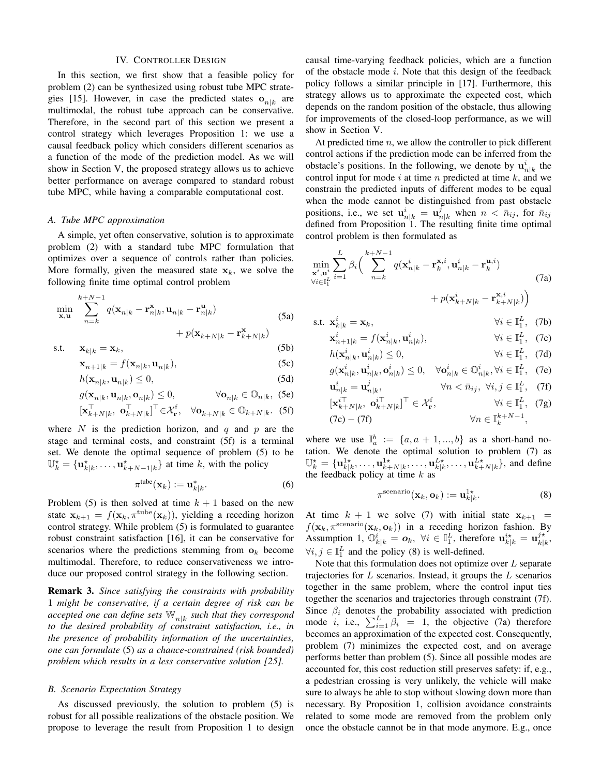## **IV. CONTROLLER DESIGN**

In this section, we first show that a feasible policy for problem (2) can be synthesized using robust tube MPC strategies [15]. However, in case the predicted states  $o_{n|k}$  are multimodal, the robust tube approach can be conservative. Therefore, in the second part of this section we present a control strategy which leverages Proposition 1: we use a causal feedback policy which considers different scenarios as a function of the mode of the prediction model. As we will show in Section V, the proposed strategy allows us to achieve better performance on average compared to standard robust tube MPC, while having a comparable computational cost.

## A. Tube MPC approximation

A simple, yet often conservative, solution is to approximate problem (2) with a standard tube MPC formulation that optimizes over a sequence of controls rather than policies. More formally, given the measured state  $x_k$ , we solve the following finite time optimal control problem

$$
\min_{\mathbf{x}, \mathbf{u}} \sum_{n=k}^{k+N-1} q(\mathbf{x}_{n|k} - \mathbf{r}_{n|k}^{\mathbf{x}}, \mathbf{u}_{n|k} - \mathbf{r}_{n|k}^{\mathbf{u}}) + p(\mathbf{x}_{k+N|k} - \mathbf{r}_{k+N|k}^{\mathbf{x}})
$$
\n(5a)

$$
s.t. \t xk|k = xk, \t (5b)
$$

$$
\mathbf{x}_{n+1|k} = f(\mathbf{x}_{n|k}, \mathbf{u}_{n|k}),\tag{5c}
$$

$$
h(\mathbf{x}_{n|k}, \mathbf{u}_{n|k}) \le 0,\tag{5d}
$$

$$
g(\mathbf{x}_{n|k}, \mathbf{u}_{n|k}, \mathbf{o}_{n|k}) \le 0, \qquad \forall \mathbf{o}_{n|k} \in \mathbb{O}_{n|k}, \tag{5e}
$$

$$
[\mathbf{x}_{k+N|k}^{\perp}, \mathbf{o}_{k+N|k}^{\perp}]^{\perp} \in \mathcal{X}_{\mathbf{r}}^{\mathbf{f}}, \quad \forall \mathbf{o}_{k+N|k} \in \mathbb{O}_{k+N|k}.
$$
 (5f)

where N is the prediction horizon, and q and p are the stage and terminal costs, and constraint (5f) is a terminal set. We denote the optimal sequence of problem (5) to be  $\mathbb{U}_k^{\star} = {\mathbf{u}_{k|k}^{\star}, \ldots, \mathbf{u}_{k+N-1|k}^{\star}}$  at time k, with the policy

$$
\pi^{\text{tube}}(\mathbf{x}_k) := \mathbf{u}_{k|k}^*.
$$
 (6)

Problem (5) is then solved at time  $k + 1$  based on the new state  $\mathbf{x}_{k+1} = f(\mathbf{x}_k, \pi^{\text{tube}}(\mathbf{x}_k))$ , yielding a receding horizon control strategy. While problem (5) is formulated to guarantee robust constraint satisfaction [16], it can be conservative for scenarios where the predictions stemming from  $\mathbf{o}_k$  become multimodal. Therefore, to reduce conservativeness we introduce our proposed control strategy in the following section.

**Remark 3.** Since satisfying the constraints with probability 1 might be conservative, if a certain degree of risk can be accepted one can define sets  $\mathbb{W}_{n|k}$  such that they correspond to the desired probability of constraint satisfaction, i.e., in the presence of probability information of the uncertainties, one can formulate (5) as a chance-constrained (risk bounded) problem which results in a less conservative solution [25].

## **B.** Scenario Expectation Strategy

As discussed previously, the solution to problem (5) is robust for all possible realizations of the obstacle position. We propose to leverage the result from Proposition 1 to design causal time-varying feedback policies, which are a function of the obstacle mode i. Note that this design of the feedback policy follows a similar principle in [17]. Furthermore, this strategy allows us to approximate the expected cost, which depends on the random position of the obstacle, thus allowing for improvements of the closed-loop performance, as we will show in Section V.

At predicted time  $n$ , we allow the controller to pick different control actions if the prediction mode can be inferred from the obstacle's positions. In the following, we denote by  $\mathbf{u}_{n|k}^{i}$  the control input for mode  $i$  at time  $n$  predicted at time  $k$ , and we constrain the predicted inputs of different modes to be equal when the mode cannot be distinguished from past obstacle positions, i.e., we set  $\mathbf{u}_{n|k}^i = \mathbf{u}_{n|k}^j$  when  $n < \bar{n}_{ij}$ , for  $\bar{n}_{ij}$ defined from Proposition 1. The resulting finite time optimal control problem is then formulated as

$$
\min_{\mathbf{x}^{i}, \mathbf{u}^{i}} \sum_{i=1}^{L} \beta_{i} \left( \sum_{n=k}^{k+N-1} q(\mathbf{x}_{n|k}^{i} - \mathbf{r}_{k}^{\mathbf{x},i}, \mathbf{u}_{n|k}^{i} - \mathbf{r}_{k}^{\mathbf{u},i}) + p(\mathbf{x}_{k+N|k}^{i} - \mathbf{r}_{k+N|k}^{\mathbf{x},i}) \right)
$$
\n(7a)

s.t.  $\mathbf{x}_{k|k}^i = \mathbf{x}_k$ ,  $\forall i \in \mathbb{I}_1^L$ , (7b)

$$
\mathbf{x}_{n+1|k}^i = f(\mathbf{x}_{n|k}^i, \mathbf{u}_{n|k}^i), \qquad \forall i \in \mathbb{I}_1^L, \tag{7c}
$$

$$
h(\mathbf{x}_{n|k}^*, \mathbf{u}_{n|k}^*) \le 0, \qquad \forall i \in \mathbb{I}_1^2, \quad (\forall \mathbf{d})
$$
  

$$
g(\mathbf{x}^i, \mathbf{u}^i, \mathbf{o}^i, \mathbf{o}^i) \le 0 \qquad \forall \mathbf{o}^i, \ \in \mathbb{Q}^i, \quad \forall i \in \mathbb{I}_1^L \quad (\forall \mathbf{d})
$$

$$
\mathbf{u}_{n|k}^{i} = \mathbf{u}_{n|k}^{j}, \qquad \forall n < \bar{n}_{ij}, \forall i, j \in \mathbb{I}_{1}^{L}, \quad (7f)
$$
\n
$$
[\mathbf{x}_{k+N|k}^{i\top}, \mathbf{o}_{k+N|k}^{i\top}]^{\top} \in \mathcal{X}_{\mathbf{r}}^{f}, \qquad \forall i \in \mathbb{I}_{2}^{L}, \quad (7g)
$$
\n
$$
(7c) - (7f) \qquad \forall n \in \mathbb{I}_{k}^{k+N-1},
$$

where we use  $\mathbb{I}_{a}^{b} := \{a, a+1, ..., b\}$  as a short-hand notation. We denote the optimal solution to problem (7) as  $\mathbb{U}_k^* = {\mathbf{u}_{k|k}^{1*}, \dots, \mathbf{u}_{k+N|k}^{1*}, \dots, \mathbf{u}_{k|k}^{L*}, \dots, \mathbf{u}_{k+N|k}^{L*}}$ , and define the feedback policy at time k as

$$
\pi^{\text{scenario}}(\mathbf{x}_k, \mathbf{o}_k) := \mathbf{u}_{k|k}^{1\star}.\tag{8}
$$

At time  $k + 1$  we solve (7) with initial state  $x_{k+1} =$  $f(\mathbf{x}_k, \pi^{\text{scenario}}(\mathbf{x}_k, \mathbf{o}_k))$  in a receding horizon fashion. By Assumption 1,  $\mathbb{O}_{k|k}^i = \mathbf{o}_k$ ,  $\forall i \in \mathbb{I}_1^L$ , therefore  $\mathbf{u}_{k|k}^{i*} = \mathbf{u}_{k|k}^{j*}$ .  $\forall i, j \in \mathbb{I}_1^L$  and the policy (8) is well-defined.

Note that this formulation does not optimize over  $L$  separate trajectories for  $L$  scenarios. Instead, it groups the  $L$  scenarios together in the same problem, where the control input ties together the scenarios and trajectories through constraint (7f). Since  $\beta_i$  denotes the probability associated with prediction<br>mode *i*, i.e.,  $\sum_{i=1}^{L} \beta_i = 1$ , the objective (7a) therefore becomes an approximation of the expected cost. Consequently, problem (7) minimizes the expected cost, and on average performs better than problem (5). Since all possible modes are accounted for, this cost reduction still preserves safety: if, e.g., a pedestrian crossing is very unlikely, the vehicle will make sure to always be able to stop without slowing down more than necessary. By Proposition 1, collision avoidance constraints related to some mode are removed from the problem only once the obstacle cannot be in that mode anymore. E.g., once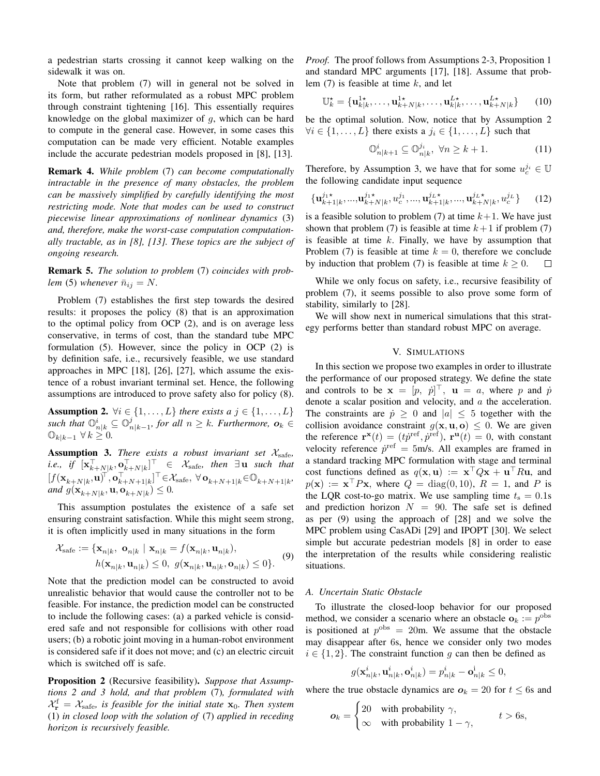a pedestrian starts crossing it cannot keep walking on the sidewalk it was on.

Note that problem (7) will in general not be solved in its form, but rather reformulated as a robust MPC problem through constraint tightening [16]. This essentially requires knowledge on the global maximizer of  $g$ , which can be hard to compute in the general case. However, in some cases this computation can be made very efficient. Notable examples include the accurate pedestrian models proposed in [8], [13].

**Remark 4.** While problem (7) can become computationally intractable in the presence of many obstacles, the problem can be massively simplified by carefully identifying the most restricting mode. Note that modes can be used to construct piecewise linear approximations of nonlinear dynamics (3) and, therefore, make the worst-case computation computationally tractable, as in  $[8]$ ,  $[13]$ . These topics are the subject of ongoing research.

**Remark 5.** The solution to problem (7) coincides with problem (5) whenever  $\bar{n}_{ij} = N$ .

Problem (7) establishes the first step towards the desired results: it proposes the policy (8) that is an approximation to the optimal policy from OCP (2), and is on average less conservative, in terms of cost, than the standard tube MPC formulation  $(5)$ . However, since the policy in OCP  $(2)$  is by definition safe, *i.e.*, recursively feasible, we use standard approaches in MPC [18], [26], [27], which assume the existence of a robust invariant terminal set. Hence, the following assumptions are introduced to prove safety also for policy (8).

**Assumption 2.**  $\forall i \in \{1, ..., L\}$  there exists a  $j \in \{1, ..., L\}$ such that  $\mathbb{O}_{n|k}^i \subseteq \mathbb{O}_{n|k-1}^j$ , for all  $n \geq k$ . Furthermore,  $o_k \in \mathbb{O}_{k|k-1}$   $\forall k \geq 0$ .

**Assumption 3.** There exists a robust invariant set  $\mathcal{X}_{\text{safe}}$ , *i.e.*, if  $[\mathbf{x}_{k+N|k}^{\top}, \mathbf{o}_{k+N|k}^{\top}]^{\top} \in \mathcal{X}_{\text{safe}}$ , then  $\exists \mathbf{u}$  such that  $[f(\mathbf{x}_{k+N|k},\mathbf{u})^{\top},\mathbf{o}_{k+N+1|k}^{\top,\pi^{n+1|k}}]^{\top} \in \mathcal{X}_{\text{safe}}, \forall \mathbf{o}_{k+N+1|k} \in \mathbb{O}_{k+N+1|k}$ and  $g(\mathbf{x}_{k+N|k}, \mathbf{u}, \mathbf{o}_{k+N|k}) \leq 0$ .

This assumption postulates the existence of a safe set ensuring constraint satisfaction. While this might seem strong, it is often implicitly used in many situations in the form

 $\mathcal{L}$ 

 $\epsilon$ 

$$
\mathcal{X}_{\text{safe}} := \{ \mathbf{x}_{n|k}, \; \mathbf{o}_{n|k} \; | \; \mathbf{x}_{n|k} = f(\mathbf{x}_{n|k}, \mathbf{u}_{n|k}),
$$

$$
h(\mathbf{x}_{n|k}, \mathbf{u}_{n|k}) \le 0, \; g(\mathbf{x}_{n|k}, \mathbf{u}_{n|k}, \mathbf{o}_{n|k}) \le 0 \}. \tag{9}
$$

 $\epsilon$ 

Note that the prediction model can be constructed to avoid unrealistic behavior that would cause the controller not to be feasible. For instance, the prediction model can be constructed to include the following cases: (a) a parked vehicle is considered safe and not responsible for collisions with other road users; (b) a robotic joint moving in a human-robot environment is considered safe if it does not move; and (c) an electric circuit which is switched off is safe.

Proposition 2 (Recursive feasibility). Suppose that Assumptions 2 and 3 hold, and that problem (7), formulated with  $X_{\mathbf{r}}^{\text{f}} = X_{\text{safe}}$ , is feasible for the initial state  $\mathbf{x}_0$ . Then system (1) in closed loop with the solution of  $(7)$  applied in receding horizon is recursively feasible.

*Proof.* The proof follows from Assumptions 2-3, Proposition 1 and standard MPC arguments [17], [18]. Assume that problem  $(7)$  is feasible at time k, and let

$$
\mathbb{U}_{k}^{\star} = {\mathbf{u}_{k|k}^{1\star}, \ldots, \mathbf{u}_{k+N|k}^{1\star}, \ldots, \mathbf{u}_{k|k}^{L\star}, \ldots, \mathbf{u}_{k+N|k}^{L\star}} \qquad (10)
$$

be the optimal solution. Now, notice that by Assumption 2  $\forall i \in \{1, ..., L\}$  there exists a  $j_i \in \{1, ..., L\}$  such that

$$
\mathbb{O}_{n|k+1}^{i} \subseteq \mathbb{O}_{n|k}^{j_i}, \ \forall n \ge k+1. \tag{11}
$$

Therefore, by Assumption 3, we have that for some  $u_c^{j_i} \in \mathbb{U}$ the following candidate input sequence

$$
\{\mathbf u_{k+1|k}^{j_1\star},...,\mathbf u_{k+N|k}^{j_1\star},u_c^{j_1},...,\mathbf u_{k+1|k}^{j_L\star},...,\mathbf u_{k+N|k}^{j_L\star},u_c^{j_L}\}\qquad(12)
$$

is a feasible solution to problem (7) at time  $k+1$ . We have just shown that problem (7) is feasible at time  $k+1$  if problem (7) is feasible at time  $k$ . Finally, we have by assumption that Problem (7) is feasible at time  $k = 0$ , therefore we conclude by induction that problem (7) is feasible at time  $k \geq 0$ .  $\Box$ 

While we only focus on safety, *i.e.*, recursive feasibility of problem (7), it seems possible to also prove some form of stability, similarly to [28].

We will show next in numerical simulations that this strategy performs better than standard robust MPC on average.

#### V. SIMULATIONS

In this section we propose two examples in order to illustrate the performance of our proposed strategy. We define the state and controls to be  $\mathbf{x} = [p, p]^\top$ ,  $\mathbf{u} = a$ , where p and p denote a scalar position and velocity, and  $a$  the acceleration. The constraints are  $\dot{p} \ge 0$  and  $|a| \le 5$  together with the collision avoidance constraint  $g(\mathbf{x}, \mathbf{u}, \mathbf{o}) \leq 0$ . We are given the reference  $\mathbf{r}^{\mathbf{x}}(t) = (t\dot{p}^{\text{ref}}, \dot{p}^{\text{ref}}), \mathbf{r}^{\mathbf{u}}(t) = 0$ , with constant velocity reference  $\dot{p}^{\text{ref}} = 5$ m/s. All examples are framed in a standard tracking MPC formulation with stage and terminal cost functions defined as  $q(\mathbf{x}, \mathbf{u}) := \mathbf{x}^\top Q \mathbf{x} + \mathbf{u}^\top R \mathbf{u}$ , and  $p(\mathbf{x}) := \mathbf{x}^\top P \mathbf{x}$ , where  $Q = \text{diag}(0, 10)$ ,  $R = 1$ , and P is the LQR cost-to-go matrix. We use sampling time  $t_s = 0.1$ s and prediction horizon  $N = 90$ . The safe set is defined as per  $(9)$  using the approach of  $[28]$  and we solve the MPC problem using CasADi [29] and IPOPT [30]. We select simple but accurate pedestrian models [8] in order to ease the interpretation of the results while considering realistic situations.

## A. Uncertain Static Obstacle

To illustrate the closed-loop behavior for our proposed method, we consider a scenario where an obstacle  $\mathbf{o}_k := p^{\text{obs}}$ is positioned at  $p^{\text{obs}} = 20$ m. We assume that the obstacle may disappear after 6s, hence we consider only two modes  $i \in \{1,2\}$ . The constraint function q can then be defined as

$$
g(\mathbf{x}_{n|k}^i, \mathbf{u}_{n|k}^i, \mathbf{o}_{n|k}^i) = p_{n|k}^i - \mathbf{o}_{n|k}^i \le 0,
$$

where the true obstacle dynamics are  $o_k = 20$  for  $t \le 6s$  and

$$
o_k = \begin{cases} 20 & \text{with probability } \gamma, \\ \infty & \text{with probability } 1 - \gamma, \end{cases} \qquad t > 6s,
$$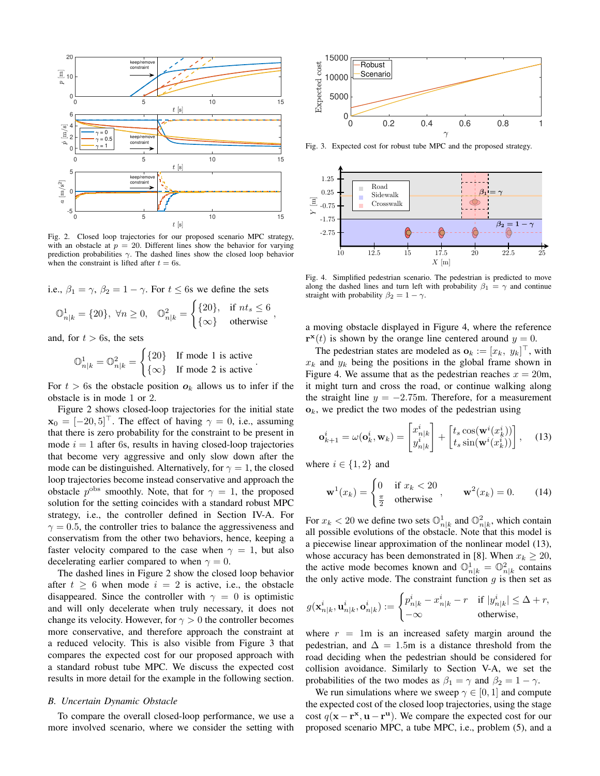

Fig. 2. Closed loop trajectories for our proposed scenario MPC strategy, with an obstacle at  $p = 20$ . Different lines show the behavior for varying prediction probabilities  $\gamma$ . The dashed lines show the closed loop behavior when the constraint is lifted after  $t = 6s$ .

i.e., 
$$
\beta_1 = \gamma
$$
,  $\beta_2 = 1 - \gamma$ . For  $t \le 6s$  we define the sets  
\n
$$
\mathbb{O}_{n|k}^1 = \{20\}, \ \forall n \ge 0, \quad \mathbb{O}_{n|k}^2 = \begin{cases} \{20\}, & \text{if } nt_s \le 6 \\ \{\infty\} & \text{otherwise} \end{cases}
$$

and, for  $t > 6s$ , the sets

$$
\mathbb{O}_{n|k}^1 = \mathbb{O}_{n|k}^2 = \begin{cases} \{20\} & \text{If mode 1 is active} \\ \{\infty\} & \text{If mode 2 is active} \end{cases}
$$

For  $t > 6s$  the obstacle position  $o_k$  allows us to infer if the obstacle is in mode 1 or 2.

Figure 2 shows closed-loop trajectories for the initial state  $\mathbf{x}_0 = [-20, 5]^{\top}$ . The effect of having  $\gamma = 0$ , i.e., assuming that there is zero probability for the constraint to be present in mode  $i = 1$  after 6s, results in having closed-loop trajectories that become very aggressive and only slow down after the mode can be distinguished. Alternatively, for  $\gamma = 1$ , the closed loop trajectories become instead conservative and approach the obstacle  $p^{\text{obs}}$  smoothly. Note, that for  $\gamma = 1$ , the proposed solution for the setting coincides with a standard robust MPC strategy, i.e., the controller defined in Section IV-A. For  $\gamma = 0.5$ , the controller tries to balance the aggressiveness and conservatism from the other two behaviors, hence, keeping a faster velocity compared to the case when  $\gamma = 1$ , but also decelerating earlier compared to when  $\gamma = 0$ .

The dashed lines in Figure 2 show the closed loop behavior after  $t \geq 6$  when mode  $i = 2$  is active, i.e., the obstacle disappeared. Since the controller with  $\gamma = 0$  is optimistic and will only decelerate when truly necessary, it does not change its velocity. However, for  $\gamma > 0$  the controller becomes more conservative, and therefore approach the constraint at a reduced velocity. This is also visible from Figure 3 that compares the expected cost for our proposed approach with a standard robust tube MPC. We discuss the expected cost results in more detail for the example in the following section.

## **B.** Uncertain Dynamic Obstacle

To compare the overall closed-loop performance, we use a more involved scenario, where we consider the setting with



Fig. 3. Expected cost for robust tube MPC and the proposed strategy.



Fig. 4. Simplified pedestrian scenario. The pedestrian is predicted to move along the dashed lines and turn left with probability  $\beta_1 = \gamma$  and continue straight with probability  $\beta_2 = 1 - \gamma$ .

a moving obstacle displayed in Figure 4, where the reference  $\mathbf{r}^{\mathbf{x}}(t)$  is shown by the orange line centered around  $y = 0$ .

The pedestrian states are modeled as  $\mathbf{o}_k := [x_k, y_k]^\top$ , with  $x_k$  and  $y_k$  being the positions in the global frame shown in Figure 4. We assume that as the pedestrian reaches  $x = 20$ m, it might turn and cross the road, or continue walking along the straight line  $y = -2.75$ m. Therefore, for a measurement  $\mathbf{o}_k$ , we predict the two modes of the pedestrian using

$$
\mathbf{o}_{k+1}^i = \omega(\mathbf{o}_k^i, \mathbf{w}_k) = \begin{bmatrix} x_{n|k}^i \\ y_{n|k}^i \end{bmatrix} + \begin{bmatrix} t_s \cos(\mathbf{w}^i(x_k^i)) \\ t_s \sin(\mathbf{w}^i(x_k^i)) \end{bmatrix}, \quad (13)
$$

where  $i \in \{1, 2\}$  and

$$
\mathbf{w}^1(x_k) = \begin{cases} 0 & \text{if } x_k < 20 \\ \frac{\pi}{2} & \text{otherwise} \end{cases}, \qquad \mathbf{w}^2(x_k) = 0. \tag{14}
$$

For  $x_k < 20$  we define two sets  $\mathbb{O}_{n|k}^1$  and  $\mathbb{O}_{n|k}^2$ , which contain all possible evolutions of the obstacle. Note that this model is a piecewise linear approximation of the nonlinear model (13), whose accuracy has been demonstrated in [8]. When  $x_k \ge 20$ , the active mode becomes known and  $\mathbb{O}_{n|k}^1 = \mathbb{O}_{n|k}^2$  contains the only active mode. The constraint function  $q$  is then set as

$$
g(\mathbf{x}_{n|k}^i, \mathbf{u}_{n|k}^i, \mathbf{o}_{n|k}^i) := \begin{cases} p_{n|k}^i - x_{n|k}^i - r & \text{if } |y_{n|k}^i| \leq \Delta + r, \\ -\infty & \text{otherwise,} \end{cases}
$$

where  $r = 1$ m is an increased safety margin around the pedestrian, and  $\Delta = 1.5$ m is a distance threshold from the road deciding when the pedestrian should be considered for collision avoidance. Similarly to Section V-A, we set the probabilities of the two modes as  $\beta_1 = \gamma$  and  $\beta_2 = 1 - \gamma$ .

We run simulations where we sweep  $\gamma \in [0, 1]$  and compute the expected cost of the closed loop trajectories, using the stage cost  $q(x - r^x, u - r^u)$ . We compare the expected cost for our proposed scenario MPC, a tube MPC, i.e., problem (5), and a